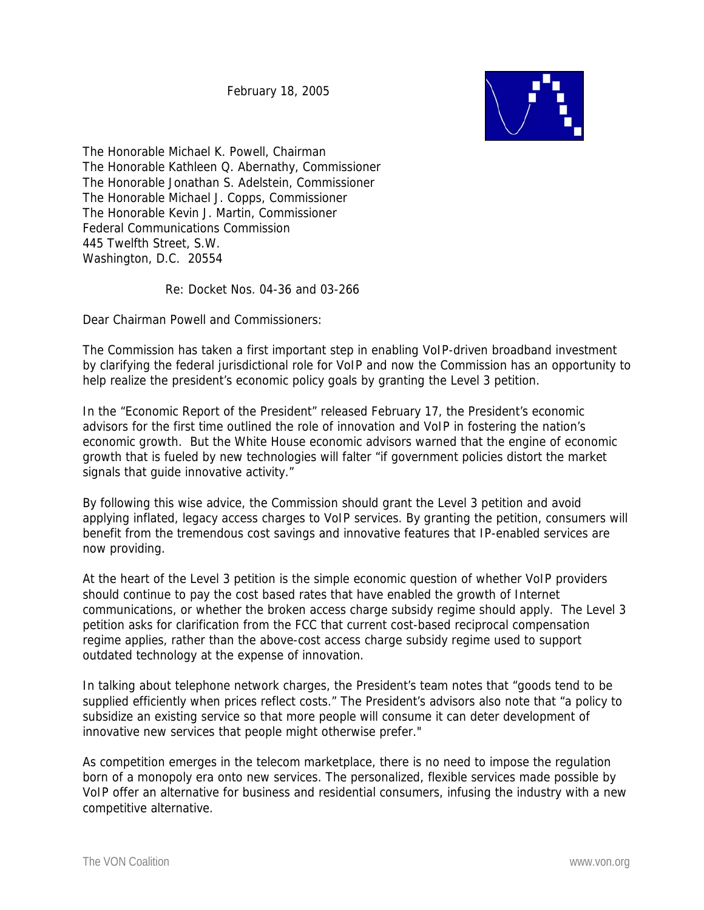February 18, 2005



The Honorable Michael K. Powell, Chairman The Honorable Kathleen Q. Abernathy, Commissioner The Honorable Jonathan S. Adelstein, Commissioner The Honorable Michael J. Copps, Commissioner The Honorable Kevin J. Martin, Commissioner Federal Communications Commission 445 Twelfth Street, S.W. Washington, D.C. 20554

Re: Docket Nos. 04-36 and 03-266

Dear Chairman Powell and Commissioners:

The Commission has taken a first important step in enabling VoIP-driven broadband investment by clarifying the federal jurisdictional role for VoIP and now the Commission has an opportunity to help realize the president's economic policy goals by granting the Level 3 petition.

In the "Economic Report of the President" released February 17, the President's economic advisors for the first time outlined the role of innovation and VoIP in fostering the nation's economic growth. But the White House economic advisors warned that the engine of economic growth that is fueled by new technologies will falter "if government policies distort the market signals that guide innovative activity."

By following this wise advice, the Commission should grant the Level 3 petition and avoid applying inflated, legacy access charges to VoIP services. By granting the petition, consumers will benefit from the tremendous cost savings and innovative features that IP-enabled services are now providing.

At the heart of the Level 3 petition is the simple economic question of whether VoIP providers should continue to pay the cost based rates that have enabled the growth of Internet communications, or whether the broken access charge subsidy regime should apply. The Level 3 petition asks for clarification from the FCC that current cost-based reciprocal compensation regime applies, rather than the above-cost access charge subsidy regime used to support outdated technology at the expense of innovation.

In talking about telephone network charges, the President's team notes that "goods tend to be supplied efficiently when prices reflect costs." The President's advisors also note that "a policy to subsidize an existing service so that more people will consume it can deter development of innovative new services that people might otherwise prefer."

As competition emerges in the telecom marketplace, there is no need to impose the regulation born of a monopoly era onto new services. The personalized, flexible services made possible by VoIP offer an alternative for business and residential consumers, infusing the industry with a new competitive alternative.